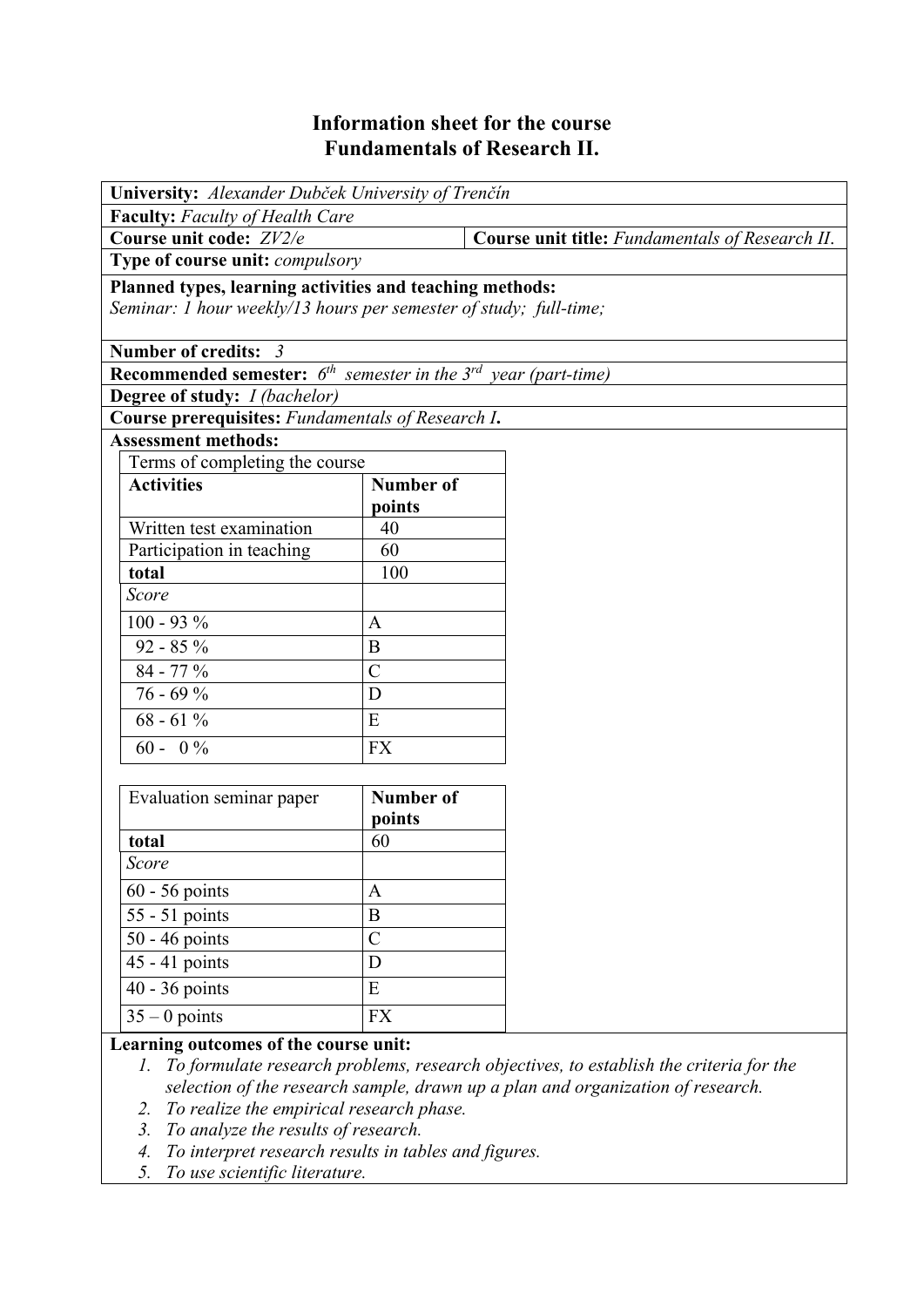# **Information sheet for the course Fundamentals of Research II.**

| University: Alexander Dubček University of Trenčín                                                                            |                  |                                                 |  |  |
|-------------------------------------------------------------------------------------------------------------------------------|------------------|-------------------------------------------------|--|--|
| <b>Faculty:</b> Faculty of Health Care                                                                                        |                  |                                                 |  |  |
| Course unit code: ZV2/e                                                                                                       |                  | Course unit title: Fundamentals of Research II. |  |  |
| Type of course unit: <i>compulsory</i>                                                                                        |                  |                                                 |  |  |
| Planned types, learning activities and teaching methods:<br>Seminar: 1 hour weekly/13 hours per semester of study; full-time; |                  |                                                 |  |  |
| Number of credits: 3                                                                                                          |                  |                                                 |  |  |
| <b>Recommended semester:</b> $6^{th}$ semester in the $3^{rd}$ year (part-time)                                               |                  |                                                 |  |  |
| Degree of study: <i>I (bachelor)</i>                                                                                          |                  |                                                 |  |  |
| Course prerequisites: Fundamentals of Research I.                                                                             |                  |                                                 |  |  |
| <b>Assessment methods:</b>                                                                                                    |                  |                                                 |  |  |
| Terms of completing the course                                                                                                |                  |                                                 |  |  |
| <b>Activities</b>                                                                                                             | Number of        |                                                 |  |  |
| Written test examination                                                                                                      | points<br>40     |                                                 |  |  |
| Participation in teaching                                                                                                     | 60               |                                                 |  |  |
| total                                                                                                                         | 100              |                                                 |  |  |
| Score                                                                                                                         |                  |                                                 |  |  |
| $100 - 93 %$                                                                                                                  | A                |                                                 |  |  |
| $92 - 85 \%$                                                                                                                  | B                |                                                 |  |  |
| 84 - 77 %                                                                                                                     | $\overline{C}$   |                                                 |  |  |
| $76 - 69%$                                                                                                                    | D                |                                                 |  |  |
| $68 - 61\%$                                                                                                                   | E                |                                                 |  |  |
| $60 - 0\%$                                                                                                                    | <b>FX</b>        |                                                 |  |  |
|                                                                                                                               |                  |                                                 |  |  |
| Evaluation seminar paper                                                                                                      | <b>Number of</b> |                                                 |  |  |
|                                                                                                                               | points           |                                                 |  |  |
| total                                                                                                                         | 60               |                                                 |  |  |
| Score                                                                                                                         |                  |                                                 |  |  |
| $60 - 56$ points                                                                                                              | $\mathbf{A}$     |                                                 |  |  |
| 55 - 51 points                                                                                                                | $\bf{B}$         |                                                 |  |  |
| 50 - 46 points                                                                                                                | $\overline{C}$   |                                                 |  |  |
| 45 - 41 points                                                                                                                | $\mathbf D$      |                                                 |  |  |
| $40 - 36$ points                                                                                                              | ${\bf E}$        |                                                 |  |  |
| $35 - 0$ points                                                                                                               | ${\rm FX}$       |                                                 |  |  |

#### **Learning outcomes of the course unit:**

- *1. To formulate research problems, research objectives, to establish the criteria for the selection of the research sample, drawn up a plan and organization of research.*
- *2. To realize the empirical research phase.*
- *3. To analyze the results of research.*
- *4. To interpret research results in tables and figures.*
- *5. To use scientific literature.*